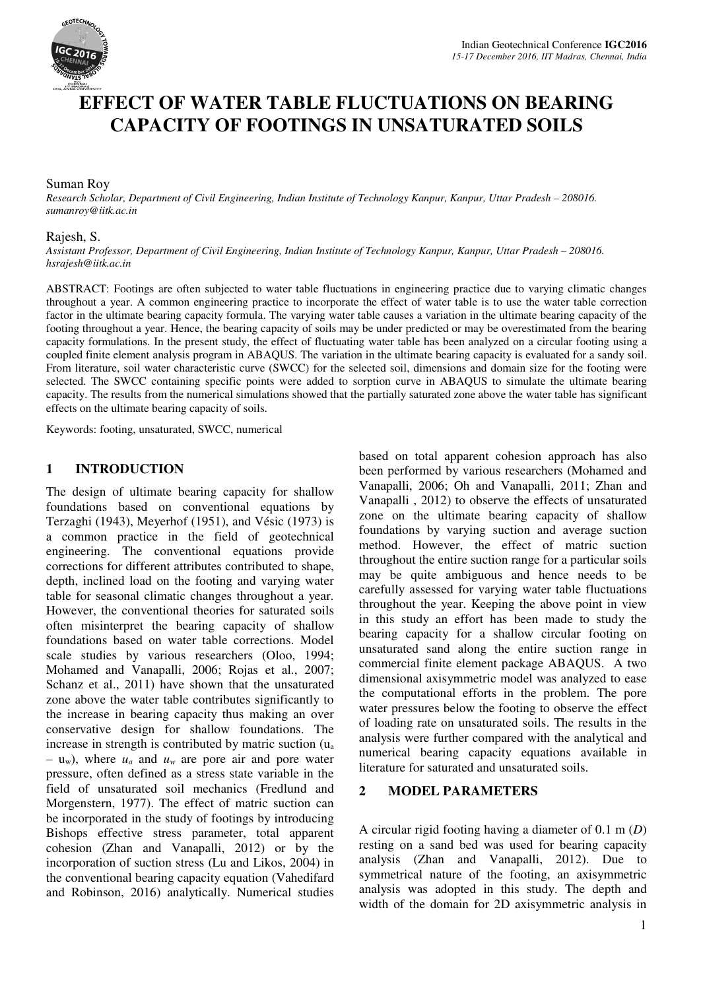

# **EFFECT OF WATER TABLE FLUCTUATIONS ON BEARING CAPACITY OF FOOTINGS IN UNSATURATED SOILS**

#### Suman Roy

*Research Scholar, Department of Civil Engineering, Indian Institute of Technology Kanpur, Kanpur, Uttar Pradesh – 208016. sumanroy@iitk.ac.in* 

#### Rajesh, S.

*Assistant Professor, Department of Civil Engineering, Indian Institute of Technology Kanpur, Kanpur, Uttar Pradesh – 208016. hsrajesh@iitk.ac.in* 

ABSTRACT: Footings are often subjected to water table fluctuations in engineering practice due to varying climatic changes throughout a year. A common engineering practice to incorporate the effect of water table is to use the water table correction factor in the ultimate bearing capacity formula. The varying water table causes a variation in the ultimate bearing capacity of the footing throughout a year. Hence, the bearing capacity of soils may be under predicted or may be overestimated from the bearing capacity formulations. In the present study, the effect of fluctuating water table has been analyzed on a circular footing using a coupled finite element analysis program in ABAQUS. The variation in the ultimate bearing capacity is evaluated for a sandy soil. From literature, soil water characteristic curve (SWCC) for the selected soil, dimensions and domain size for the footing were selected. The SWCC containing specific points were added to sorption curve in ABAQUS to simulate the ultimate bearing capacity. The results from the numerical simulations showed that the partially saturated zone above the water table has significant effects on the ultimate bearing capacity of soils.

Keywords: footing, unsaturated, SWCC, numerical

#### **1 INTRODUCTION**

The design of ultimate bearing capacity for shallow foundations based on conventional equations by Terzaghi (1943), Meyerhof (1951), and Vésic (1973) is a common practice in the field of geotechnical engineering. The conventional equations provide corrections for different attributes contributed to shape, depth, inclined load on the footing and varying water table for seasonal climatic changes throughout a year. However, the conventional theories for saturated soils often misinterpret the bearing capacity of shallow foundations based on water table corrections. Model scale studies by various researchers (Oloo, 1994; Mohamed and Vanapalli, 2006; Rojas et al., 2007; Schanz et al., 2011) have shown that the unsaturated zone above the water table contributes significantly to the increase in bearing capacity thus making an over conservative design for shallow foundations. The increase in strength is contributed by matric suction (u<sup>a</sup>  $-$  u<sub>w</sub>), where  $u_a$  and  $u_w$  are pore air and pore water pressure, often defined as a stress state variable in the field of unsaturated soil mechanics (Fredlund and Morgenstern, 1977). The effect of matric suction can be incorporated in the study of footings by introducing Bishops effective stress parameter, total apparent cohesion (Zhan and Vanapalli, 2012) or by the incorporation of suction stress (Lu and Likos, 2004) in the conventional bearing capacity equation (Vahedifard and Robinson, 2016) analytically. Numerical studies

based on total apparent cohesion approach has also been performed by various researchers (Mohamed and Vanapalli, 2006; Oh and Vanapalli, 2011; Zhan and Vanapalli , 2012) to observe the effects of unsaturated zone on the ultimate bearing capacity of shallow foundations by varying suction and average suction method. However, the effect of matric suction throughout the entire suction range for a particular soils may be quite ambiguous and hence needs to be carefully assessed for varying water table fluctuations throughout the year. Keeping the above point in view in this study an effort has been made to study the bearing capacity for a shallow circular footing on unsaturated sand along the entire suction range in commercial finite element package ABAQUS. A two dimensional axisymmetric model was analyzed to ease the computational efforts in the problem. The pore water pressures below the footing to observe the effect of loading rate on unsaturated soils. The results in the analysis were further compared with the analytical and numerical bearing capacity equations available in literature for saturated and unsaturated soils.

#### **2 MODEL PARAMETERS**

A circular rigid footing having a diameter of 0.1 m (*D*) resting on a sand bed was used for bearing capacity analysis (Zhan and Vanapalli, 2012). Due to symmetrical nature of the footing, an axisymmetric analysis was adopted in this study. The depth and width of the domain for 2D axisymmetric analysis in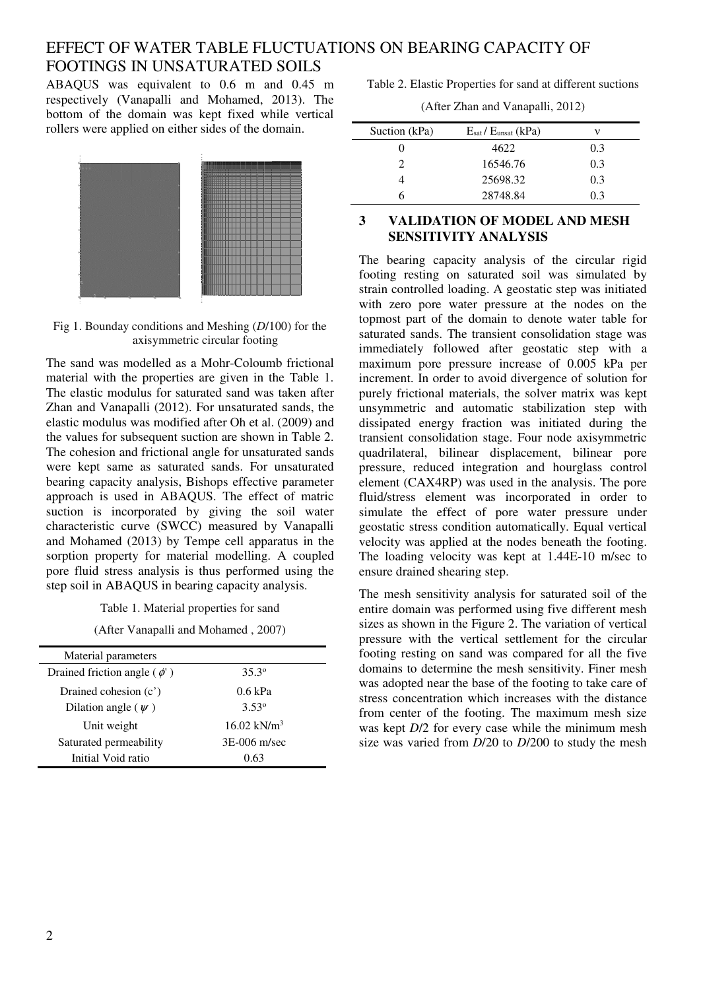## EFFECT OF WATER TABLE FLUCTUATIONS ON BEARING CAPACITY OF FOOTINGS IN UNSATURATED SOILS

ABAQUS was equivalent to 0.6 m and 0.45 m respectively (Vanapalli and Mohamed, 2013). The bottom of the domain was kept fixed while vertical rollers were applied on either sides of the domain.



Fig 1. Bounday conditions and Meshing (*D*/100) for the axisymmetric circular footing

The sand was modelled as a Mohr-Coloumb frictional material with the properties are given in the Table 1. The elastic modulus for saturated sand was taken after Zhan and Vanapalli (2012). For unsaturated sands, the elastic modulus was modified after Oh et al. (2009) and the values for subsequent suction are shown in Table 2. The cohesion and frictional angle for unsaturated sands were kept same as saturated sands. For unsaturated bearing capacity analysis, Bishops effective parameter approach is used in ABAQUS. The effect of matric suction is incorporated by giving the soil water characteristic curve (SWCC) measured by Vanapalli and Mohamed (2013) by Tempe cell apparatus in the sorption property for material modelling. A coupled pore fluid stress analysis is thus performed using the step soil in ABAQUS in bearing capacity analysis.

Table 1. Material properties for sand

(After Vanapalli and Mohamed , 2007)

| Material parameters             |                        |
|---------------------------------|------------------------|
| Drained friction angle $(\phi)$ | 35.3 <sup>o</sup>      |
| Drained cohesion $(c')$         | $0.6$ kPa              |
| Dilation angle $(\psi)$         | 3.53°                  |
| Unit weight                     | $16.02 \text{ kN/m}^3$ |
| Saturated permeability          | 3E-006 m/sec           |
| Initial Void ratio              | 0.63                   |

Table 2. Elastic Properties for sand at different suctions

(After Zhan and Vanapalli, 2012)

| $E_{\text{sat}}/E_{\text{unsat}}$ (kPa) | v   |
|-----------------------------------------|-----|
| 4622                                    | 0.3 |
| 16546.76                                | 0.3 |
| 25698.32                                | 0.3 |
| 28748.84                                | 0.3 |
|                                         |     |

## **3 VALIDATION OF MODEL AND MESH SENSITIVITY ANALYSIS**

The bearing capacity analysis of the circular rigid footing resting on saturated soil was simulated by strain controlled loading. A geostatic step was initiated with zero pore water pressure at the nodes on the topmost part of the domain to denote water table for saturated sands. The transient consolidation stage was immediately followed after geostatic step with a maximum pore pressure increase of 0.005 kPa per increment. In order to avoid divergence of solution for purely frictional materials, the solver matrix was kept unsymmetric and automatic stabilization step with dissipated energy fraction was initiated during the transient consolidation stage. Four node axisymmetric quadrilateral, bilinear displacement, bilinear pore pressure, reduced integration and hourglass control element (CAX4RP) was used in the analysis. The pore fluid/stress element was incorporated in order to simulate the effect of pore water pressure under geostatic stress condition automatically. Equal vertical velocity was applied at the nodes beneath the footing. The loading velocity was kept at 1.44E-10 m/sec to ensure drained shearing step.

The mesh sensitivity analysis for saturated soil of the entire domain was performed using five different mesh sizes as shown in the Figure 2. The variation of vertical pressure with the vertical settlement for the circular footing resting on sand was compared for all the five domains to determine the mesh sensitivity. Finer mesh was adopted near the base of the footing to take care of stress concentration which increases with the distance from center of the footing. The maximum mesh size was kept *D*/2 for every case while the minimum mesh size was varied from *D*/20 to *D*/200 to study the mesh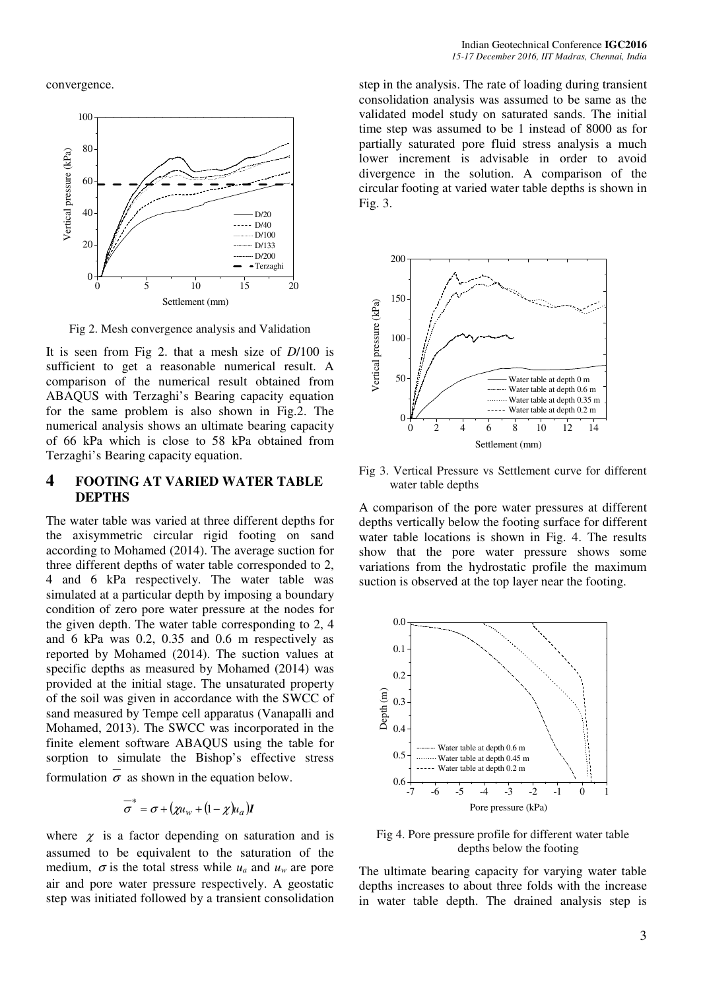convergence.



Fig 2. Mesh convergence analysis and Validation

It is seen from Fig 2. that a mesh size of *D*/100 is sufficient to get a reasonable numerical result. A comparison of the numerical result obtained from ABAQUS with Terzaghi's Bearing capacity equation for the same problem is also shown in Fig.2. The numerical analysis shows an ultimate bearing capacity of 66 kPa which is close to 58 kPa obtained from Terzaghi's Bearing capacity equation.

### **4 FOOTING AT VARIED WATER TABLE DEPTHS**

The water table was varied at three different depths for the axisymmetric circular rigid footing on sand according to Mohamed (2014). The average suction for three different depths of water table corresponded to 2, 4 and 6 kPa respectively. The water table was simulated at a particular depth by imposing a boundary condition of zero pore water pressure at the nodes for the given depth. The water table corresponding to 2, 4 and 6 kPa was 0.2, 0.35 and 0.6 m respectively as reported by Mohamed (2014). The suction values at specific depths as measured by Mohamed (2014) was provided at the initial stage. The unsaturated property of the soil was given in accordance with the SWCC of sand measured by Tempe cell apparatus (Vanapalli and Mohamed, 2013). The SWCC was incorporated in the finite element software ABAQUS using the table for sorption to simulate the Bishop's effective stress formulation  $\sigma$  as shown in the equation below.

$$
\overline{\sigma}^* = \sigma + (\chi u_w + (1 - \chi)u_a)I
$$

where  $\chi$  is a factor depending on saturation and is assumed to be equivalent to the saturation of the medium,  $\sigma$  is the total stress while  $u_a$  and  $u_w$  are pore air and pore water pressure respectively. A geostatic step was initiated followed by a transient consolidation

step in the analysis. The rate of loading during transient consolidation analysis was assumed to be same as the validated model study on saturated sands. The initial time step was assumed to be 1 instead of 8000 as for partially saturated pore fluid stress analysis a much lower increment is advisable in order to avoid divergence in the solution. A comparison of the circular footing at varied water table depths is shown in Fig. 3.



Fig 3. Vertical Pressure vs Settlement curve for different water table depths

A comparison of the pore water pressures at different depths vertically below the footing surface for different water table locations is shown in Fig. 4. The results show that the pore water pressure shows some variations from the hydrostatic profile the maximum suction is observed at the top layer near the footing.



Fig 4. Pore pressure profile for different water table depths below the footing

The ultimate bearing capacity for varying water table depths increases to about three folds with the increase in water table depth. The drained analysis step is